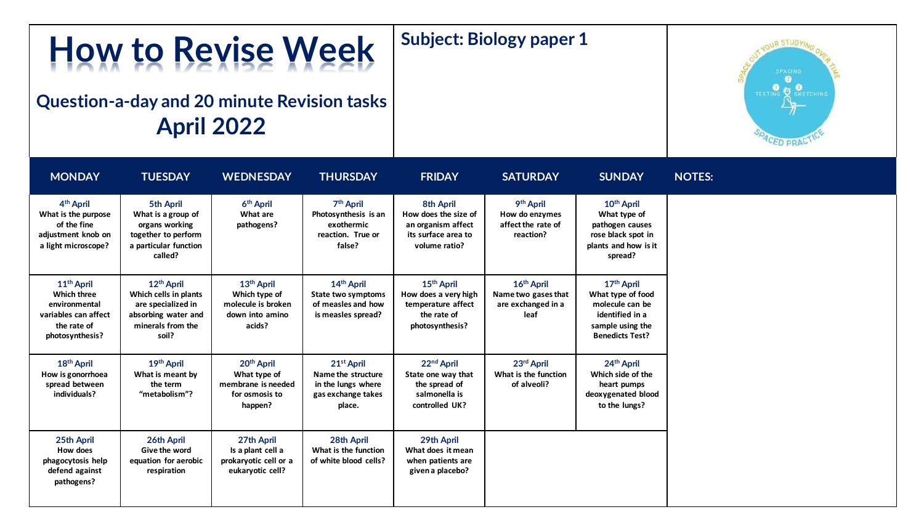# **Subject: Biology paper 1**

## **Question-a-day and 20 minute Revision tasks April 2022**

**How to Revise Week**



| <b>MONDAY</b>                                                                                                           | <b>TUESDAY</b>                                                                                                             | <b>WEDNESDAY</b>                                                                           | <b>THURSDAY</b>                                                                                    | <b>FRIDAY</b>                                                                                          | <b>SATURDAY</b>                                                             | <b>SUNDAY</b>                                                                                                                   |
|-------------------------------------------------------------------------------------------------------------------------|----------------------------------------------------------------------------------------------------------------------------|--------------------------------------------------------------------------------------------|----------------------------------------------------------------------------------------------------|--------------------------------------------------------------------------------------------------------|-----------------------------------------------------------------------------|---------------------------------------------------------------------------------------------------------------------------------|
| 4 <sup>th</sup> April<br>What is the purpose<br>of the fine<br>adjustment knob on<br>a light microscope?                | 5th April<br>What is a group of<br>organs working<br>together to perform<br>a particular function<br>called?               | 6 <sup>th</sup> April<br>What are<br>pathogens?                                            | 7 <sup>th</sup> April<br>Photosynthesis is an<br>exothermic<br>reaction. True or<br>false?         | 8th April<br>How does the size of<br>an organism affect<br>its surface area to<br>volume ratio?        | 9 <sup>th</sup> April<br>How do enzymes<br>affect the rate of<br>reaction?  | 10 <sup>th</sup> April<br>What type of<br>pathogen causes<br>rose black spot in<br>plants and how is it<br>spread?              |
| 11 <sup>th</sup> April<br><b>Which three</b><br>environmental<br>variables can affect<br>the rate of<br>photosynthesis? | 12 <sup>th</sup> April<br>Which cells in plants<br>are specialized in<br>absorbing water and<br>minerals from the<br>soil? | 13 <sup>th</sup> April<br>Which type of<br>molecule is broken<br>down into amino<br>acids? | 14 <sup>th</sup> April<br>State two symptoms<br>of measles and how<br>is measles spread?           | 15 <sup>th</sup> April<br>How does a very high<br>temperature affect<br>the rate of<br>photosynthesis? | 16 <sup>th</sup> April<br>Name two gases that<br>are exchanged in a<br>leaf | 17 <sup>th</sup> April<br>What type of food<br>molecule can be<br>identified in a<br>sample using the<br><b>Benedicts Test?</b> |
| 18 <sup>th</sup> April<br>How is gonorrhoea<br>spread between<br>individuals?                                           | 19th April<br>What is meant by<br>the term<br>"metabolism"?                                                                | 20 <sup>th</sup> April<br>What type of<br>membrane is needed<br>for osmosis to<br>happen?  | 21 <sup>st</sup> April<br>Name the structure<br>in the lungs where<br>gas exchange takes<br>place. | 22 <sup>nd</sup> April<br>State one way that<br>the spread of<br>salmonella is<br>controlled UK?       | 23rd April<br>What is the function<br>of alveoli?                           | 24 <sup>th</sup> April<br>Which side of the<br>heart pumps<br>deoxygenated blood<br>to the lungs?                               |
| 25th April<br>How does<br>phagocytosis help<br>defend against<br>pathogens?                                             | 26th April<br>Give the word<br>equation for aerobic<br>respiration                                                         | 27th April<br>Is a plant cell a<br>prokaryotic cell or a<br>eukaryotic cell?               | 28th April<br>What is the function<br>of white blood cells?                                        | 29th April<br>What does it mean<br>when patients are<br>given a placebo?                               |                                                                             |                                                                                                                                 |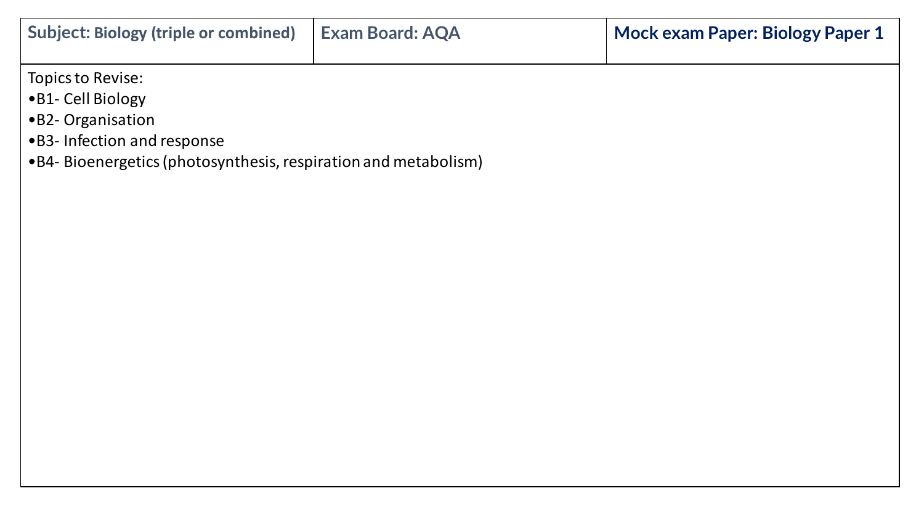| <b>Subject: Biology (triple or combined)</b>                                                                                                                    | <b>Exam Board: AQA</b> | Mock exam Paper: Biology Paper 1 |  |  |
|-----------------------------------------------------------------------------------------------------------------------------------------------------------------|------------------------|----------------------------------|--|--|
| Topics to Revise:<br>•B1- Cell Biology<br>•B2- Organisation<br>• B3- Infection and response<br>• B4- Bioenergetics (photosynthesis, respiration and metabolism) |                        |                                  |  |  |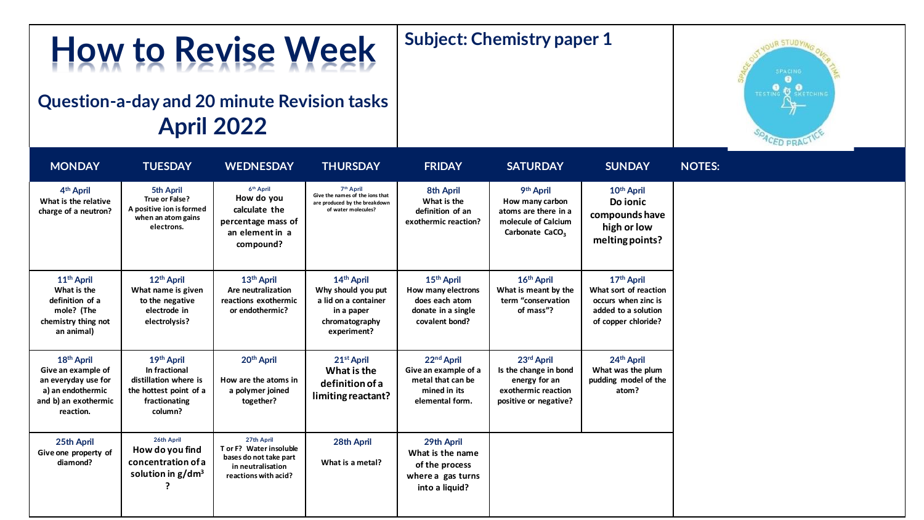#### **How to Revise Week Subject: Chemistry paper 1**

## **Question-a-day and 20 minute Revision tasks April 2022**



| <b>MONDAY</b>                                                                                                                 | <b>TUESDAY</b>                                                                                             | <b>WEDNESDAY</b>                                                                                             | <b>THURSDAY</b>                                                                                                  | <b>FRIDAY</b>                                                                                          | <b>SATURDAY</b>                                                                                                        | <b>SUNDAY</b>                                                                                                        | <b>NOTES:</b> |
|-------------------------------------------------------------------------------------------------------------------------------|------------------------------------------------------------------------------------------------------------|--------------------------------------------------------------------------------------------------------------|------------------------------------------------------------------------------------------------------------------|--------------------------------------------------------------------------------------------------------|------------------------------------------------------------------------------------------------------------------------|----------------------------------------------------------------------------------------------------------------------|---------------|
| 4 <sup>th</sup> April<br>What is the relative<br>charge of a neutron?                                                         | 5th April<br>True or False?<br>A positive ion is formed<br>when an atom gains<br>electrons.                | 6 <sup>th</sup> April<br>How do you<br>calculate the<br>percentage mass of<br>an element in a<br>compound?   | 7 <sup>th</sup> April<br>Give the names of the ions that<br>are produced by the breakdown<br>of water molecules? | 8th April<br>What is the<br>definition of an<br>exothermic reaction?                                   | 9 <sup>th</sup> April<br>How many carbon<br>atoms are there in a<br>molecule of Calcium<br>Carbonate CaCO <sub>3</sub> | 10 <sup>th</sup> April<br>Do ionic<br>compounds have<br>high or low<br>melting points?                               |               |
| 11 <sup>th</sup> April<br>What is the<br>definition of a<br>mole? (The<br>chemistry thing not<br>an animal)                   | 12 <sup>th</sup> April<br>What name is given<br>to the negative<br>electrode in<br>electrolysis?           | 13 <sup>th</sup> April<br>Are neutralization<br>reactions exothermic<br>or endothermic?                      | 14th April<br>Why should you put<br>a lid on a container<br>in a paper<br>chromatography<br>experiment?          | 15 <sup>th</sup> April<br>How many electrons<br>does each atom<br>donate in a single<br>covalent bond? | 16 <sup>th</sup> April<br>What is meant by the<br>term "conservation<br>of mass"?                                      | 17 <sup>th</sup> April<br>What sort of reaction<br>occurs when zinc is<br>added to a solution<br>of copper chloride? |               |
| 18 <sup>th</sup> April<br>Give an example of<br>an everyday use for<br>a) an endothermic<br>and b) an exothermic<br>reaction. | 19th April<br>In fractional<br>distillation where is<br>the hottest point of a<br>fractionating<br>column? | 20 <sup>th</sup> April<br>How are the atoms in<br>a polymer joined<br>together?                              | 21 <sup>st</sup> April<br>What is the<br>definition of a<br>limiting reactant?                                   | 22nd April<br>Give an example of a<br>metal that can be<br>mined in its<br>elemental form.             | 23rd April<br>Is the change in bond<br>energy for an<br>exothermic reaction<br>positive or negative?                   | 24 <sup>th</sup> April<br>What was the plum<br>pudding model of the<br>atom?                                         |               |
| 25th April<br>Give one property of<br>diamond?                                                                                | 26th April<br>How do you find<br>concentration of a<br>solution in $g/dm^3$                                | 27th April<br>T or F? Water insoluble<br>bases do not take part<br>in neutralisation<br>reactions with acid? | 28th April<br>What is a metal?                                                                                   | 29th April<br>What is the name<br>of the process<br>where a gas turns<br>into a liquid?                |                                                                                                                        |                                                                                                                      |               |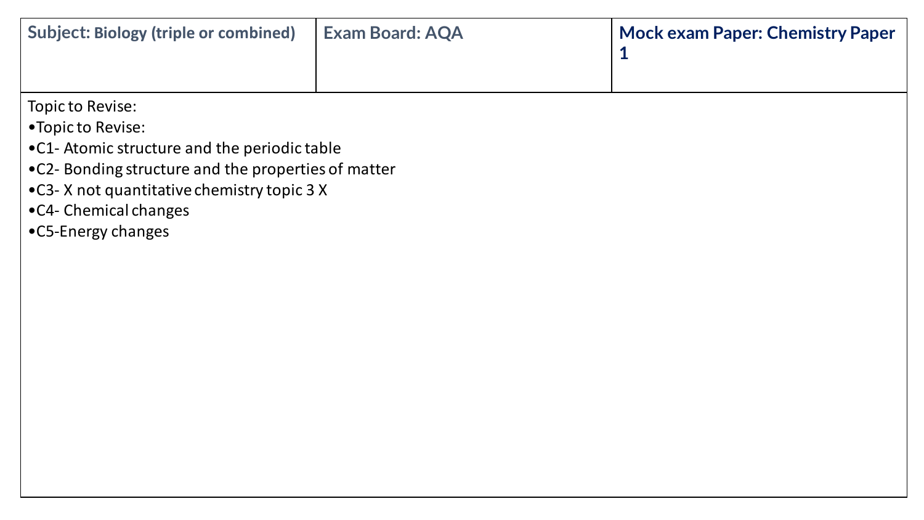| <b>Subject: Biology (triple or combined)</b> | Exam Board: AQA | <b>Mock exam Paper: Chemistry Paper</b> |
|----------------------------------------------|-----------------|-----------------------------------------|
|                                              |                 |                                         |

Topic to Revise:

•Topic to Revise:

- •C1- Atomic structure and the periodic table
- •C2- Bonding structure and the properties of matter
- •C3- X not quantitative chemistry topic 3 X
- •C4- Chemical changes
- •C5-Energy changes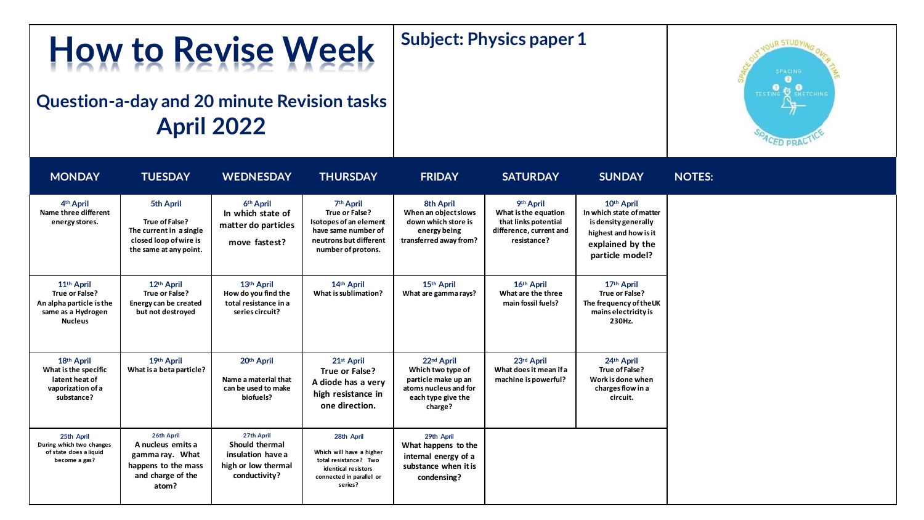#### **Subject: Physics paper 1**

## **Question-a-day and 20 minute Revision tasks April 2022**

**How to Revise Week**



| <b>MONDAY</b>                                                                                                | <b>TUESDAY</b>                                                                                             | <b>WEDNESDAY</b>                                                                          | <b>THURSDAY</b>                                                                                                                          | <b>FRIDAY</b>                                                                                                                | <b>SATURDAY</b>                                                                                     | <b>SUNDAY</b>                                                                                                                  |
|--------------------------------------------------------------------------------------------------------------|------------------------------------------------------------------------------------------------------------|-------------------------------------------------------------------------------------------|------------------------------------------------------------------------------------------------------------------------------------------|------------------------------------------------------------------------------------------------------------------------------|-----------------------------------------------------------------------------------------------------|--------------------------------------------------------------------------------------------------------------------------------|
| 4 <sup>th</sup> April<br>Name three different<br>energy stores.                                              | 5th April<br>True of False?<br>The current in a single<br>closed loop of wire is<br>the same at any point. | 6 <sup>th</sup> April<br>In which state of<br>matter do particles<br>move fastest?        | 7 <sup>th</sup> April<br>True or False?<br>Isotopes of an element<br>have same number of<br>neutrons but different<br>number of protons. | 8th April<br>When an object slows<br>down which store is<br>energy being<br>transferred away from?                           | 9th April<br>What is the equation<br>that links potential<br>difference, current and<br>resistance? | 10th April<br>In which state of matter<br>is density generally<br>highest and how is it<br>explained by the<br>particle model? |
| 11 <sup>th</sup> April<br>True or False?<br>An alpha particle is the<br>same as a Hydrogen<br><b>Nucleus</b> | 12th April<br>True or False?<br>Energy can be created<br>but not destroyed                                 | 13th April<br>How do you find the<br>total resistance in a<br>series circuit?             | 14th April<br>What is sublimation?                                                                                                       | 15th April<br>What are gamma rays?                                                                                           | 16th April<br>What are the three<br>main fossil fuels?                                              | 17th April<br>True or False?<br>The frequency of the UK<br>mains electricity is<br>230Hz.                                      |
| 18th April<br>What is the specific<br>latent heat of<br>vaporization of a<br>substance?                      | 19th April<br>What is a beta particle?                                                                     | 20th April<br>Name a material that<br>can be used to make<br>biofuels?                    | 21 <sup>st</sup> April<br>True or False?<br>A diode has a very<br>high resistance in<br>one direction.                                   | 22 <sup>nd</sup> April<br>Which two type of<br>particle make up an<br>atoms nucleus and for<br>each type give the<br>charge? | 23rd April<br>What does it mean if a<br>machine is powerful?                                        | 24th April<br>True of False?<br>Work is done when<br>charges flow in a<br>circuit.                                             |
| 25th April<br>During which two changes<br>of state does a liquid<br>become a gas?                            | 26th April<br>A nucleus emits a<br>gamma ray. What<br>happens to the mass<br>and charge of the<br>atom?    | 27th April<br>Should thermal<br>insulation have a<br>high or low thermal<br>conductivity? | 28th April<br>Which will have a higher<br>total resistance? Two<br>identical resistors<br>connected in parallel or<br>series?            | 29th April<br>What happens to the<br>internal energy of a<br>substance when it is<br>condensing?                             |                                                                                                     |                                                                                                                                |